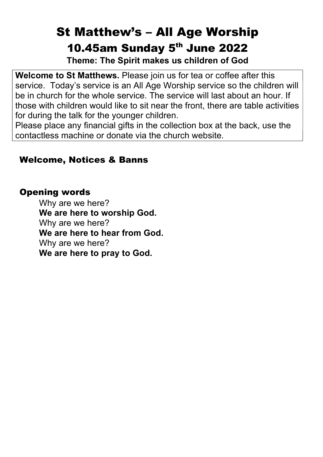# St Matthew's – All Age Worship 10.45am Sunday 5<sup>th</sup> June 2022

Theme: The Spirit makes us children of God

Welcome to St Matthews. Please join us for tea or coffee after this service. Today's service is an All Age Worship service so the children will be in church for the whole service. The service will last about an hour. If those with children would like to sit near the front, there are table activities for during the talk for the younger children.

Please place any financial gifts in the collection box at the back, use the contactless machine or donate via the church website.

# Welcome, Notices & Banns

# Opening words

Why are we here? We are here to worship God. Why are we here? We are here to hear from God. Why are we here? We are here to pray to God.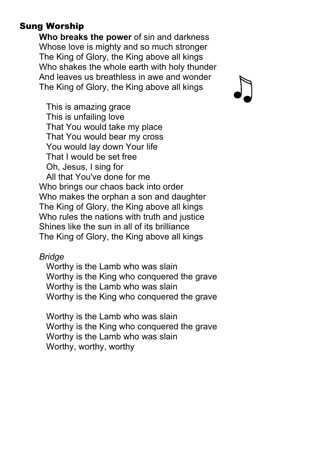# Sung Worship

Who breaks the power of sin and darkness Whose love is mighty and so much stronger The King of Glory, the King above all kings Who shakes the whole earth with holy thunder And leaves us breathless in awe and wonder The King of Glory, the King above all kings

 This is amazing grace This is unfailing love That You would take my place That You would bear my cross You would lay down Your life That I would be set free Oh, Jesus, I sing for All that You've done for me Who brings our chaos back into order Who makes the orphan a son and daughter The King of Glory, the King above all kings Who rules the nations with truth and justice Shines like the sun in all of its brilliance The King of Glory, the King above all kings

### **Bridge**

 Worthy is the Lamb who was slain Worthy is the King who conquered the grave Worthy is the Lamb who was slain Worthy is the King who conquered the grave

 Worthy is the Lamb who was slain Worthy is the King who conquered the grave Worthy is the Lamb who was slain Worthy, worthy, worthy

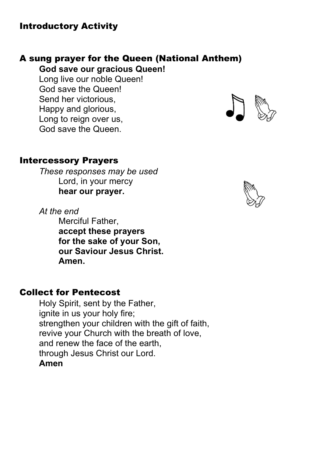# Introductory Activity

#### A sung prayer for the Queen (National Anthem)

God save our gracious Queen!

Long live our noble Queen! God save the Queen! Send her victorious, Happy and glorious, Long to reign over us, God save the Queen.

#### Intercessory Prayers

These responses may be used Lord, in your mercy hear our prayer.

At the end

 Merciful Father, accept these prayers for the sake of your Son, our Saviour Jesus Christ. Amen.

#### Collect for Pentecost

Holy Spirit, sent by the Father, ignite in us your holy fire; strengthen your children with the gift of faith, revive your Church with the breath of love, and renew the face of the earth, through Jesus Christ our Lord. Amen



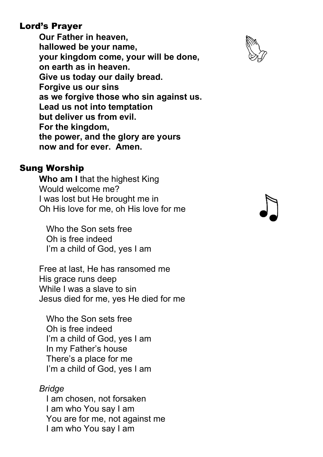# Lord's Prayer

Our Father in heaven, hallowed be your name, your kingdom come, your will be done, on earth as in heaven. Give us today our daily bread. Forgive us our sins as we forgive those who sin against us. Lead us not into temptation but deliver us from evil. For the kingdom, the power, and the glory are yours now and for ever. Amen.

# Sung Worship

Who am I that the highest King Would welcome me? I was lost but He brought me in Oh His love for me, oh His love for me

 Who the Son sets free Oh is free indeed I'm a child of God, yes I am

Free at last, He has ransomed me His grace runs deep While I was a slave to sin Jesus died for me, yes He died for me

 Who the Son sets free Oh is free indeed I'm a child of God, yes I am In my Father's house There's a place for me I'm a child of God, yes I am

#### Bridge

 I am chosen, not forsaken I am who You say I am You are for me, not against me I am who You say I am

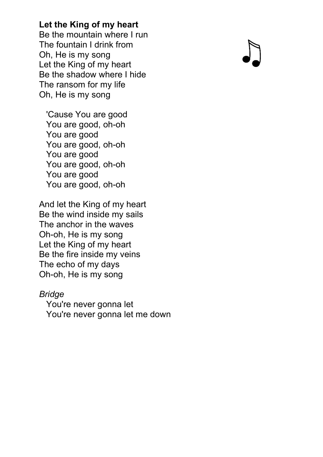# Let the King of my heart

Be the mountain where I run The fountain I drink from Oh, He is my song Let the King of my heart Be the shadow where I hide The ransom for my life Oh, He is my song

 'Cause You are good You are good, oh-oh You are good You are good, oh-oh You are good You are good, oh-oh You are good You are good, oh-oh

And let the King of my heart Be the wind inside my sails The anchor in the waves Oh-oh, He is my song Let the King of my heart Be the fire inside my veins The echo of my days Oh-oh, He is my song

#### Bridge

 You're never gonna let You're never gonna let me down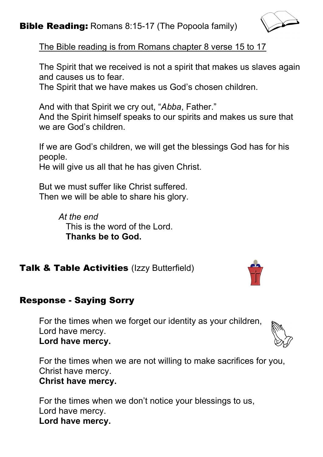# **Bible Reading:** Romans 8:15-17 (The Popoola family)



The Bible reading is from Romans chapter 8 verse 15 to 17

The Spirit that we received is not a spirit that makes us slaves again and causes us to fear.

The Spirit that we have makes us God's chosen children.

And with that Spirit we cry out, "Abba, Father." And the Spirit himself speaks to our spirits and makes us sure that we are God's children.

If we are God's children, we will get the blessings God has for his people.

He will give us all that he has given Christ.

But we must suffer like Christ suffered. Then we will be able to share his glory.

> At the end This is the word of the Lord. Thanks be to God.

Talk & Table Activities (Izzy Butterfield)

# Response - Saying Sorry

For the times when we forget our identity as your children, Lord have mercy. Lord have mercy.

For the times when we are not willing to make sacrifices for you, Christ have mercy.

### Christ have mercy.

For the times when we don't notice your blessings to us, Lord have mercy. Lord have mercy.

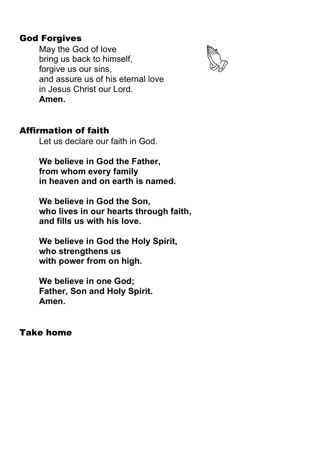# God Forgives

May the God of love bring us back to himself, forgive us our sins. and assure us of his eternal love in Jesus Christ our Lord. Amen.

# Affirmation of faith

Let us declare our faith in God.

We believe in God the Father, from whom every family in heaven and on earth is named.

We believe in God the Son, who lives in our hearts through faith, and fills us with his love.

We believe in God the Holy Spirit, who strengthens us with power from on high.

We believe in one God; Father, Son and Holy Spirit. Amen.

# Take home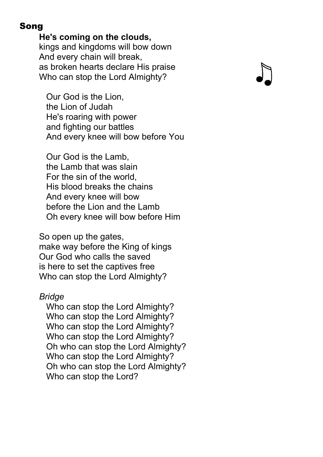# Song

He's coming on the clouds, kings and kingdoms will bow down And every chain will break, as broken hearts declare His praise Who can stop the Lord Almighty?

 Our God is the Lion, the Lion of Judah He's roaring with power and fighting our battles And every knee will bow before You

 Our God is the Lamb, the Lamb that was slain For the sin of the world, His blood breaks the chains And every knee will bow before the Lion and the Lamb Oh every knee will bow before Him

So open up the gates,

make way before the King of kings Our God who calls the saved is here to set the captives free Who can stop the Lord Almighty?

# Bridge

 Who can stop the Lord Almighty? Who can stop the Lord Almighty? Who can stop the Lord Almighty? Who can stop the Lord Almighty? Oh who can stop the Lord Almighty? Who can stop the Lord Almighty? Oh who can stop the Lord Almighty? Who can stop the Lord?